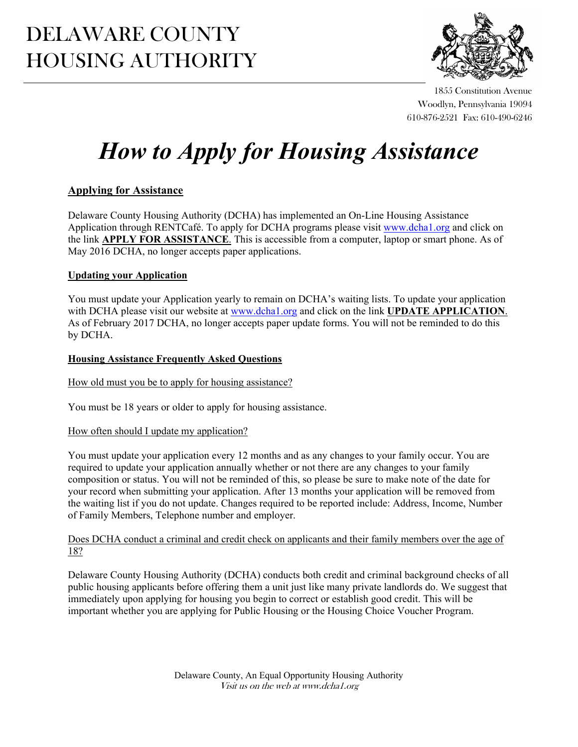# DELAWARE COUNTY HOUSING AUTHORITY



1855 Constitution Avenue Woodlyn, Pennsylvania 19094 610-876-2521 Fax: 610-490-6246

# *How to Apply for Housing Assistance*

# **Applying for Assistance**

Delaware County Housing Authority (DCHA) has implemented an On-Line Housing Assistance Application through RENTCafé. To apply for DCHA programs please visit www.dcha1.org and click on the link **APPLY FOR ASSISTANCE**. This is accessible from a computer, laptop or smart phone. As of May 2016 DCHA, no longer accepts paper applications.

# **Updating your Application**

You must update your Application yearly to remain on DCHA's waiting lists. To update your application with DCHA please visit our website at www.dcha1.org and click on the link **UPDATE APPLICATION**. As of February 2017 DCHA, no longer accepts paper update forms. You will not be reminded to do this by DCHA.

### **Housing Assistance Frequently Asked Questions**

How old must you be to apply for housing assistance?

You must be 18 years or older to apply for housing assistance.

# How often should I update my application?

You must update your application every 12 months and as any changes to your family occur. You are required to update your application annually whether or not there are any changes to your family composition or status. You will not be reminded of this, so please be sure to make note of the date for your record when submitting your application. After 13 months your application will be removed from the waiting list if you do not update. Changes required to be reported include: Address, Income, Number of Family Members, Telephone number and employer.

#### Does DCHA conduct a criminal and credit check on applicants and their family members over the age of 18?

Delaware County Housing Authority (DCHA) conducts both credit and criminal background checks of all public housing applicants before offering them a unit just like many private landlords do. We suggest that immediately upon applying for housing you begin to correct or establish good credit. This will be important whether you are applying for Public Housing or the Housing Choice Voucher Program.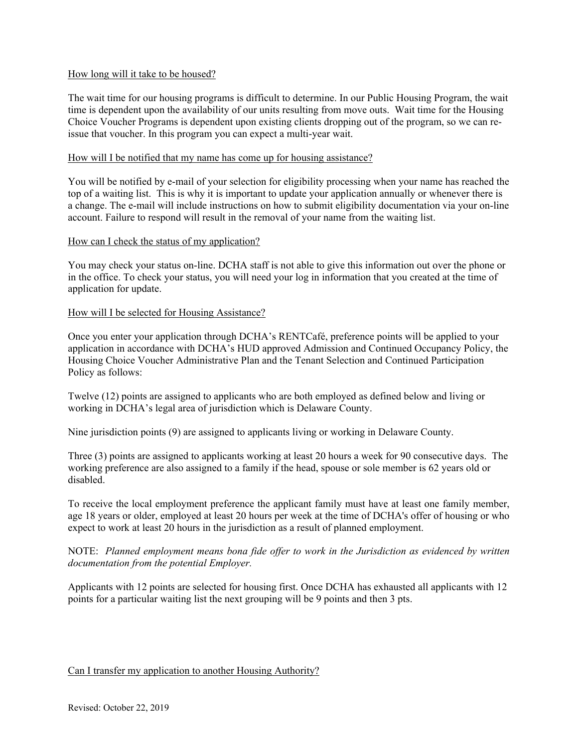#### How long will it take to be housed?

The wait time for our housing programs is difficult to determine. In our Public Housing Program, the wait time is dependent upon the availability of our units resulting from move outs. Wait time for the Housing Choice Voucher Programs is dependent upon existing clients dropping out of the program, so we can reissue that voucher. In this program you can expect a multi-year wait.

#### How will I be notified that my name has come up for housing assistance?

You will be notified by e-mail of your selection for eligibility processing when your name has reached the top of a waiting list. This is why it is important to update your application annually or whenever there is a change. The e-mail will include instructions on how to submit eligibility documentation via your on-line account. Failure to respond will result in the removal of your name from the waiting list.

#### How can I check the status of my application?

You may check your status on-line. DCHA staff is not able to give this information out over the phone or in the office. To check your status, you will need your log in information that you created at the time of application for update.

#### How will I be selected for Housing Assistance?

Once you enter your application through DCHA's RENTCafé, preference points will be applied to your application in accordance with DCHA's HUD approved Admission and Continued Occupancy Policy, the Housing Choice Voucher Administrative Plan and the Tenant Selection and Continued Participation Policy as follows:

Twelve (12) points are assigned to applicants who are both employed as defined below and living or working in DCHA's legal area of jurisdiction which is Delaware County.

Nine jurisdiction points (9) are assigned to applicants living or working in Delaware County.

Three (3) points are assigned to applicants working at least 20 hours a week for 90 consecutive days. The working preference are also assigned to a family if the head, spouse or sole member is 62 years old or disabled.

To receive the local employment preference the applicant family must have at least one family member, age 18 years or older, employed at least 20 hours per week at the time of DCHA's offer of housing or who expect to work at least 20 hours in the jurisdiction as a result of planned employment.

NOTE: *Planned employment means bona fide offer to work in the Jurisdiction as evidenced by written documentation from the potential Employer.* 

Applicants with 12 points are selected for housing first. Once DCHA has exhausted all applicants with 12 points for a particular waiting list the next grouping will be 9 points and then 3 pts.

#### Can I transfer my application to another Housing Authority?